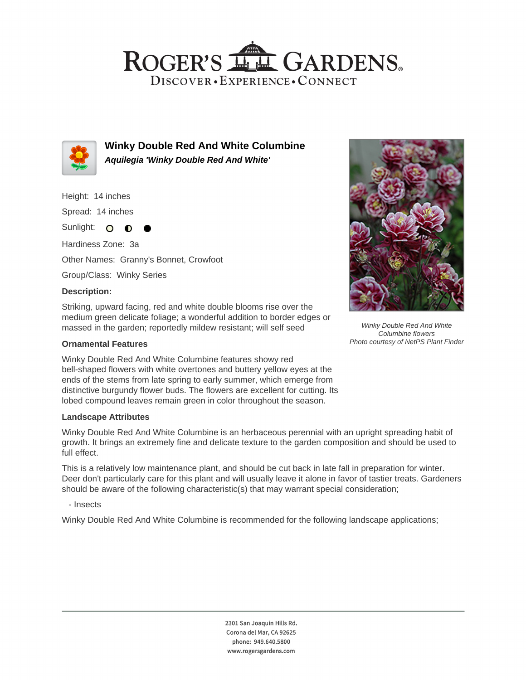## ROGER'S LL GARDENS. DISCOVER · EXPERIENCE · CONNECT



**Winky Double Red And White Columbine Aquilegia 'Winky Double Red And White'**

Height: 14 inches Spread: 14 inches Sunlight: O **O** Hardiness Zone: 3a Other Names: Granny's Bonnet, Crowfoot Group/Class: Winky Series **Description:**

Striking, upward facing, red and white double blooms rise over the medium green delicate foliage; a wonderful addition to border edges or massed in the garden; reportedly mildew resistant; will self seed

### **Ornamental Features**

Winky Double Red And White Columbine features showy red bell-shaped flowers with white overtones and buttery yellow eyes at the ends of the stems from late spring to early summer, which emerge from distinctive burgundy flower buds. The flowers are excellent for cutting. Its lobed compound leaves remain green in color throughout the season.

### **Landscape Attributes**

Winky Double Red And White Columbine is an herbaceous perennial with an upright spreading habit of growth. It brings an extremely fine and delicate texture to the garden composition and should be used to full effect.

This is a relatively low maintenance plant, and should be cut back in late fall in preparation for winter. Deer don't particularly care for this plant and will usually leave it alone in favor of tastier treats. Gardeners should be aware of the following characteristic(s) that may warrant special consideration;

- Insects

Winky Double Red And White Columbine is recommended for the following landscape applications;



Winky Double Red And White Columbine flowers Photo courtesy of NetPS Plant Finder